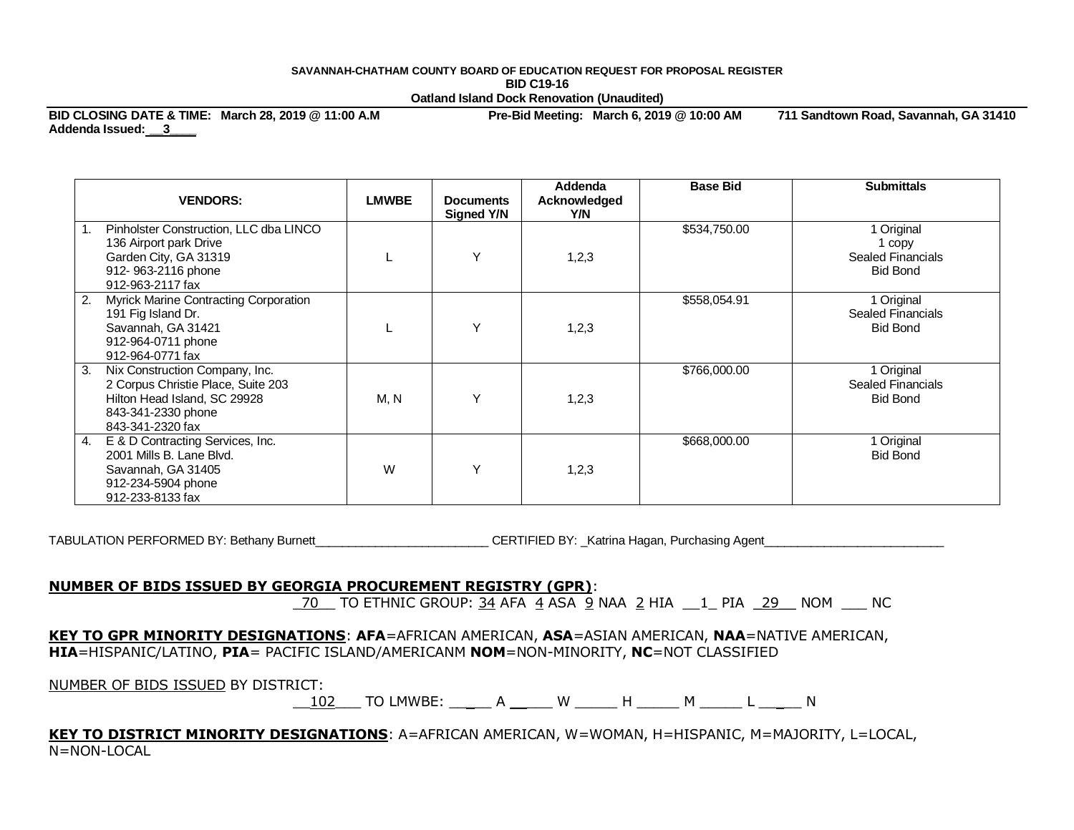## **SAVANNAH-CHATHAM COUNTY BOARD OF EDUCATION REQUEST FOR PROPOSAL REGISTER BID C19-16 Oatland Island Dock Renovation (Unaudited)**

**BID CLOSING DATE & TIME: March 28, 2019 @ 11:00 A.M Pre-Bid Meeting: March 6, 2019 @ 10:00 AM 711 Sandtown Road, Savannah, GA 31410 Addenda Issued: \_\_3\_\_\_\_** 

| <b>VENDORS:</b>                                                                                                                                      | <b>LMWBE</b> | <b>Documents</b><br>Signed Y/N | Addenda<br>Acknowledged<br>Y/N | <b>Base Bid</b> | <b>Submittals</b>                                                   |
|------------------------------------------------------------------------------------------------------------------------------------------------------|--------------|--------------------------------|--------------------------------|-----------------|---------------------------------------------------------------------|
| Pinholster Construction, LLC dba LINCO<br>136 Airport park Drive<br>Garden City, GA 31319<br>912-963-2116 phone<br>912-963-2117 fax                  |              | Υ                              | 1,2,3                          | \$534,750.00    | 1 Original<br>1 copy<br><b>Sealed Financials</b><br><b>Bid Bond</b> |
| Myrick Marine Contracting Corporation<br>2.<br>191 Fig Island Dr.<br>Savannah, GA 31421<br>912-964-0711 phone<br>912-964-0771 fax                    |              | Υ                              | 1,2,3                          | \$558,054.91    | 1 Original<br>Sealed Financials<br><b>Bid Bond</b>                  |
| Nix Construction Company, Inc.<br>3.<br>2 Corpus Christie Place, Suite 203<br>Hilton Head Island, SC 29928<br>843-341-2330 phone<br>843-341-2320 fax | M, N         | ٧                              | 1,2,3                          | \$766,000.00    | 1 Original<br>Sealed Financials<br><b>Bid Bond</b>                  |
| E & D Contracting Services, Inc.<br>4.<br>2001 Mills B. Lane Blvd.<br>Savannah, GA 31405<br>912-234-5904 phone<br>912-233-8133 fax                   | W            | v                              | 1,2,3                          | \$668,000.00    | 1 Original<br><b>Bid Bond</b>                                       |

TABULATION PERFORMED BY: Bethany Burnett\_\_\_\_\_\_\_\_\_\_\_\_\_\_\_\_\_\_\_\_\_\_\_\_\_\_\_\_\_CERTIFIED BY: \_Katrina Hagan, Purchasing Agent

## **NUMBER OF BIDS ISSUED BY GEORGIA PROCUREMENT REGISTRY (GPR)**:

\_70 \_ TO ETHNIC GROUP:  $\frac{34}{9}$  AFA  $\frac{4}{9}$  ASA  $\frac{9}{2}$  NAA  $\frac{2}{1}$  HIA  $\frac{1}{2}$  PIA  $\frac{29}{29}$  NOM  $\frac{1}{2}$  NC

**KEY TO GPR MINORITY DESIGNATIONS**: **AFA**=AFRICAN AMERICAN, **ASA**=ASIAN AMERICAN, **NAA**=NATIVE AMERICAN, **HIA**=HISPANIC/LATINO, **PIA**= PACIFIC ISLAND/AMERICANM **NOM**=NON-MINORITY, **NC**=NOT CLASSIFIED

NUMBER OF BIDS ISSUED BY DISTRICT:

\_\_102\_\_\_ TO LMWBE: \_\_\_\_\_ A \_\_\_\_\_ W \_\_\_\_\_ H \_\_\_\_\_ M \_\_\_\_\_ L \_\_\_\_\_ N

**KEY TO DISTRICT MINORITY DESIGNATIONS**: A=AFRICAN AMERICAN, W=WOMAN, H=HISPANIC, M=MAJORITY, L=LOCAL, N=NON-LOCAL